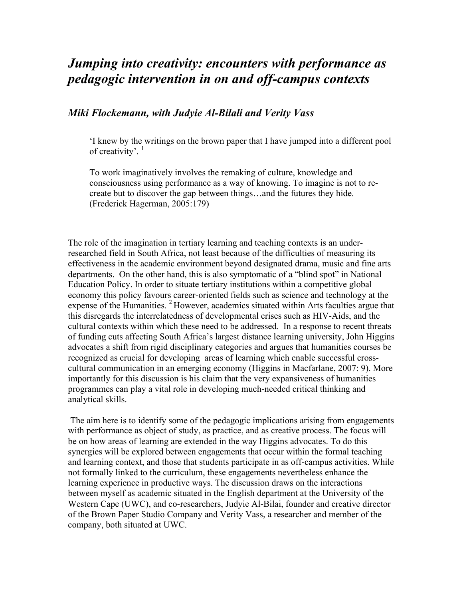## *Jumping into creativity: encounters with performance as pedagogic intervention in on and off-campus contexts*

## *Miki Flockemann, with Judyie Al-Bilali and Verity Vass*

'I knew by the writings on the brown paper that I have jumped into a different pool of creativity'.  $1$ 

To work imaginatively involves the remaking of culture, knowledge and consciousness using performance as a way of knowing. To imagine is not to recreate but to discover the gap between things…and the futures they hide. (Frederick Hagerman, 2005:179)

The role of the imagination in tertiary learning and teaching contexts is an underresearched field in South Africa, not least because of the difficulties of measuring its effectiveness in the academic environment beyond designated drama, music and fine arts departments. On the other hand, this is also symptomatic of a "blind spot" in National Education Policy. In order to situate tertiary institutions within a competitive global economy this policy favours career-oriented fields such as science and technology at the expense of the Humanities.  $2$  However, academics situated within Arts faculties argue that this disregards the interrelatedness of developmental crises such as HIV-Aids, and the cultural contexts within which these need to be addressed. In a response to recent threats of funding cuts affecting South Africa's largest distance learning university, John Higgins advocates a shift from rigid disciplinary categories and argues that humanities courses be recognized as crucial for developing areas of learning which enable successful crosscultural communication in an emerging economy (Higgins in Macfarlane, 2007: 9). More importantly for this discussion is his claim that the very expansiveness of humanities programmes can play a vital role in developing much-needed critical thinking and analytical skills.

The aim here is to identify some of the pedagogic implications arising from engagements with performance as object of study, as practice, and as creative process. The focus will be on how areas of learning are extended in the way Higgins advocates. To do this synergies will be explored between engagements that occur within the formal teaching and learning context, and those that students participate in as off-campus activities. While not formally linked to the curriculum, these engagements nevertheless enhance the learning experience in productive ways. The discussion draws on the interactions between myself as academic situated in the English department at the University of the Western Cape (UWC), and co-researchers, Judyie Al-Bilai, founder and creative director of the Brown Paper Studio Company and Verity Vass, a researcher and member of the company, both situated at UWC.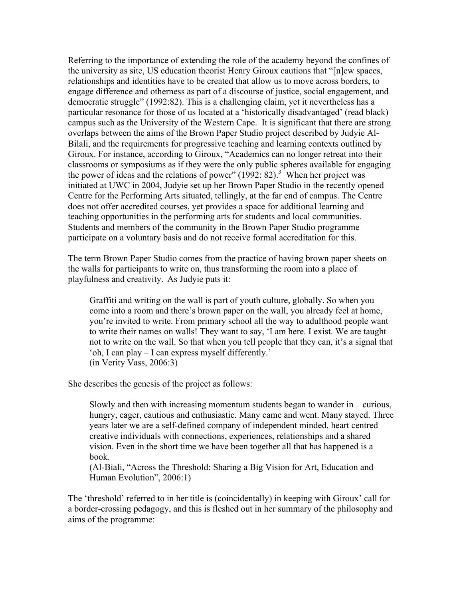Referring to the importance of extending the role of the academy beyond the confines of the university as site, US education theorist Henry Giroux cautions that "[n]ew spaces, relationships and identities have to be created that allow us to move across borders, to engage difference and otherness as part of a discourse of justice, social engagement, and democratic struggle" (1992:82). This is a challenging claim, yet it nevertheless has a particular resonance for those of us located at a 'historically disadvantaged' (read black) campus such as the University of the Western Cape. It is significant that there are strong overlaps between the aims of the Brown Paper Studio project described by Judyie Al-Bilali, and the requirements for progressive teaching and learning contexts outlined by Giroux. For instance, according to Giroux, "Academics can no longer retreat into their classrooms or symposiums as if they were the only public spheres available for engaging the power of ideas and the relations of power"  $(1992: 82)$ .<sup>3</sup> When her project was initiated at UWC in 2004, Judyie set up her Brown Paper Studio in the recently opened Centre for the Performing Arts situated, tellingly, at the far end of campus. The Centre does not offer accredited courses, yet provides a space for additional learning and teaching opportunities in the performing arts for students and local communities. Students and members of the community in the Brown Paper Studio programme participate on a voluntary basis and do not receive formal accreditation for this.

The term Brown Paper Studio comes from the practice of having brown paper sheets on the walls for participants to write on, thus transforming the room into a place of playfulness and creativity. As Judyie puts it:

Graffiti and writing on the wall is part of youth culture, globally. So when you come into a room and there's brown paper on the wall, you already feel at home, you're invited to write. From primary school all the way to adulthood people want to write their names on walls! They want to say, 'I am here. I exist. We are taught not to write on the wall. So that when you tell people that they can, it's a signal that 'oh, I can play – I can express myself differently.' (in Verity Vass, 2006:3)

She describes the genesis of the project as follows:

Slowly and then with increasing momentum students began to wander in – curious, hungry, eager, cautious and enthusiastic. Many came and went. Many stayed. Three years later we are a self-defined company of independent minded, heart centred creative individuals with connections, experiences, relationships and a shared vision. Even in the short time we have been together all that has happened is a book.

(Al-Biali, "Across the Threshold: Sharing a Big Vision for Art, Education and Human Evolution", 2006:1)

The 'threshold' referred to in her title is (coincidentally) in keeping with Giroux' call for a border-crossing pedagogy, and this is fleshed out in her summary of the philosophy and aims of the programme: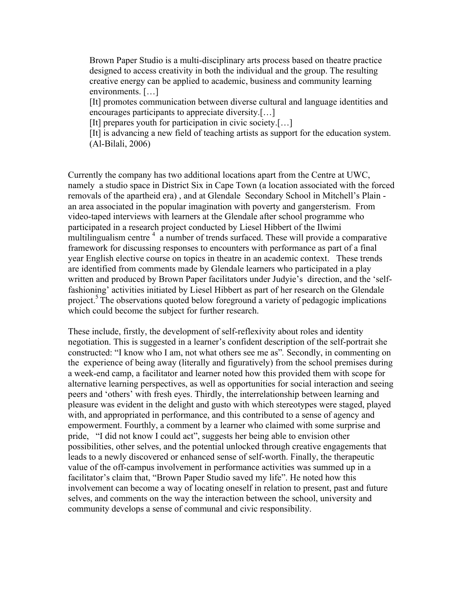Brown Paper Studio is a multi-disciplinary arts process based on theatre practice designed to access creativity in both the individual and the group. The resulting creative energy can be applied to academic, business and community learning environments. […]

[It] promotes communication between diverse cultural and language identities and encourages participants to appreciate diversity.[…]

[It] prepares youth for participation in civic society.[...]

[It] is advancing a new field of teaching artists as support for the education system. (Al-Bilali, 2006)

Currently the company has two additional locations apart from the Centre at UWC, namely a studio space in District Six in Cape Town (a location associated with the forced removals of the apartheid era) , and at Glendale Secondary School in Mitchell's Plain an area associated in the popular imagination with poverty and gangersterism. From video-taped interviews with learners at the Glendale after school programme who participated in a research project conducted by Liesel Hibbert of the Ilwimi multilingualism centre  $4\alpha$  a number of trends surfaced. These will provide a comparative framework for discussing responses to encounters with performance as part of a final year English elective course on topics in theatre in an academic context. These trends are identified from comments made by Glendale learners who participated in a play written and produced by Brown Paper facilitators under Judyie's direction, and the 'selffashioning' activities initiated by Liesel Hibbert as part of her research on the Glendale project.<sup>5</sup> The observations quoted below foreground a variety of pedagogic implications which could become the subject for further research.

These include, firstly, the development of self-reflexivity about roles and identity negotiation. This is suggested in a learner's confident description of the self-portrait she constructed: "I know who I am, not what others see me as"*.* Secondly, in commenting on the experience of being away (literally and figuratively) from the school premises during a week-end camp, a facilitator and learner noted how this provided them with scope for alternative learning perspectives, as well as opportunities for social interaction and seeing peers and 'others' with fresh eyes. Thirdly, the interrelationship between learning and pleasure was evident in the delight and gusto with which stereotypes were staged, played with, and appropriated in performance, and this contributed to a sense of agency and empowerment. Fourthly, a comment by a learner who claimed with some surprise and pride, "I did not know I could act", suggests her being able to envision other possibilities, other selves, and the potential unlocked through creative engagements that leads to a newly discovered or enhanced sense of self-worth. Finally, the therapeutic value of the off-campus involvement in performance activities was summed up in a facilitator's claim that, "Brown Paper Studio saved my life". He noted how this involvement can become a way of locating oneself in relation to present, past and future selves, and comments on the way the interaction between the school, university and community develops a sense of communal and civic responsibility.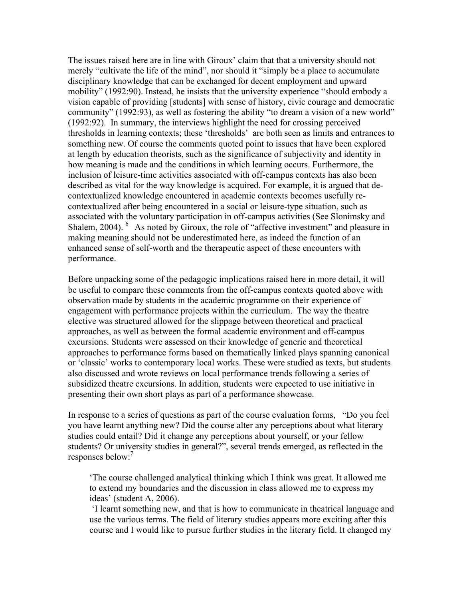The issues raised here are in line with Giroux' claim that that a university should not merely "cultivate the life of the mind", nor should it "simply be a place to accumulate disciplinary knowledge that can be exchanged for decent employment and upward mobility" (1992:90). Instead, he insists that the university experience "should embody a vision capable of providing [students] with sense of history, civic courage and democratic community" (1992:93), as well as fostering the ability "to dream a vision of a new world" (1992:92). In summary, the interviews highlight the need for crossing perceived thresholds in learning contexts; these 'thresholds' are both seen as limits and entrances to something new. Of course the comments quoted point to issues that have been explored at length by education theorists, such as the significance of subjectivity and identity in how meaning is made and the conditions in which learning occurs. Furthermore, the inclusion of leisure-time activities associated with off-campus contexts has also been described as vital for the way knowledge is acquired. For example, it is argued that decontextualized knowledge encountered in academic contexts becomes usefully recontextualized after being encountered in a social or leisure-type situation, such as associated with the voluntary participation in off-campus activities (See Slonimsky and Shalem, 2004). <sup>6</sup> As noted by Giroux, the role of "affective investment" and pleasure in making meaning should not be underestimated here, as indeed the function of an enhanced sense of self-worth and the therapeutic aspect of these encounters with performance.

Before unpacking some of the pedagogic implications raised here in more detail, it will be useful to compare these comments from the off-campus contexts quoted above with observation made by students in the academic programme on their experience of engagement with performance projects within the curriculum. The way the theatre elective was structured allowed for the slippage between theoretical and practical approaches, as well as between the formal academic environment and off-campus excursions. Students were assessed on their knowledge of generic and theoretical approaches to performance forms based on thematically linked plays spanning canonical or 'classic' works to contemporary local works. These were studied as texts, but students also discussed and wrote reviews on local performance trends following a series of subsidized theatre excursions. In addition, students were expected to use initiative in presenting their own short plays as part of a performance showcase.

In response to a series of questions as part of the course evaluation forms, "Do you feel you have learnt anything new? Did the course alter any perceptions about what literary studies could entail? Did it change any perceptions about yourself, or your fellow students? Or university studies in general?", several trends emerged, as reflected in the responses below:<sup>7</sup>

'The course challenged analytical thinking which I think was great. It allowed me to extend my boundaries and the discussion in class allowed me to express my ideas' (student A, 2006).

'I learnt something new, and that is how to communicate in theatrical language and use the various terms. The field of literary studies appears more exciting after this course and I would like to pursue further studies in the literary field. It changed my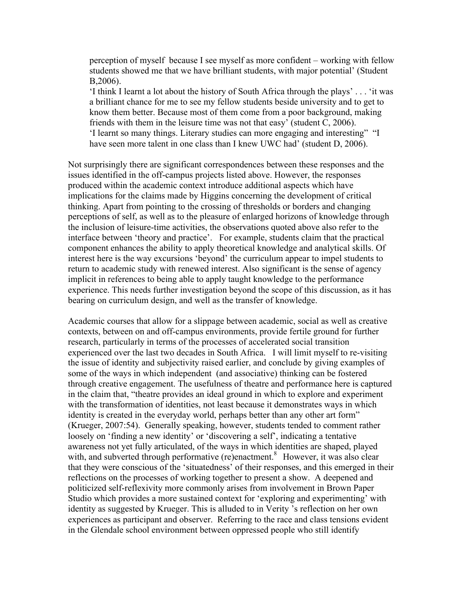perception of myself because I see myself as more confident – working with fellow students showed me that we have brilliant students, with major potential' (Student B,2006).

'I think I learnt a lot about the history of South Africa through the plays' . . . 'it was a brilliant chance for me to see my fellow students beside university and to get to know them better. Because most of them come from a poor background, making friends with them in the leisure time was not that easy' (student C, 2006). 'I learnt so many things. Literary studies can more engaging and interesting" "I have seen more talent in one class than I knew UWC had' (student D, 2006).

Not surprisingly there are significant correspondences between these responses and the issues identified in the off-campus projects listed above. However, the responses produced within the academic context introduce additional aspects which have implications for the claims made by Higgins concerning the development of critical thinking. Apart from pointing to the crossing of thresholds or borders and changing perceptions of self, as well as to the pleasure of enlarged horizons of knowledge through the inclusion of leisure-time activities, the observations quoted above also refer to the interface between 'theory and practice'. For example, students claim that the practical component enhances the ability to apply theoretical knowledge and analytical skills. Of interest here is the way excursions 'beyond' the curriculum appear to impel students to return to academic study with renewed interest. Also significant is the sense of agency implicit in references to being able to apply taught knowledge to the performance experience. This needs further investigation beyond the scope of this discussion, as it has bearing on curriculum design, and well as the transfer of knowledge.

Academic courses that allow for a slippage between academic, social as well as creative contexts, between on and off-campus environments, provide fertile ground for further research, particularly in terms of the processes of accelerated social transition experienced over the last two decades in South Africa. I will limit myself to re-visiting the issue of identity and subjectivity raised earlier, and conclude by giving examples of some of the ways in which independent (and associative) thinking can be fostered through creative engagement. The usefulness of theatre and performance here is captured in the claim that, "theatre provides an ideal ground in which to explore and experiment with the transformation of identities, not least because it demonstrates ways in which identity is created in the everyday world, perhaps better than any other art form" (Krueger, 2007:54). Generally speaking, however, students tended to comment rather loosely on 'finding a new identity' or 'discovering a self', indicating a tentative awareness not yet fully articulated, of the ways in which identities are shaped, played with, and subverted through performative (re)enactment.<sup>8</sup> However, it was also clear that they were conscious of the 'situatedness' of their responses, and this emerged in their reflections on the processes of working together to present a show. A deepened and politicized self-reflexivity more commonly arises from involvement in Brown Paper Studio which provides a more sustained context for 'exploring and experimenting' with identity as suggested by Krueger. This is alluded to in Verity 's reflection on her own experiences as participant and observer. Referring to the race and class tensions evident in the Glendale school environment between oppressed people who still identify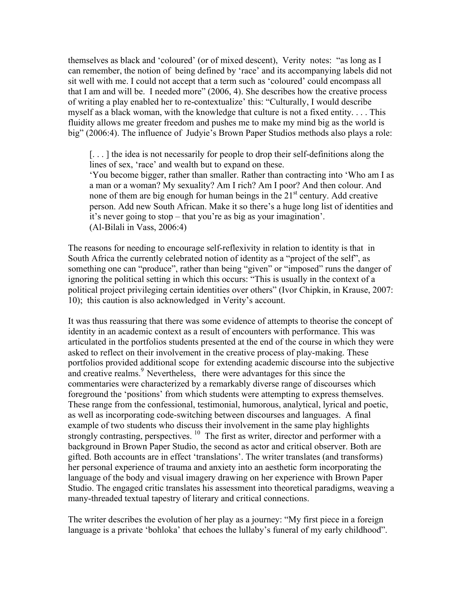themselves as black and 'coloured' (or of mixed descent), Verity notes: "as long as I can remember, the notion of being defined by 'race' and its accompanying labels did not sit well with me. I could not accept that a term such as 'coloured' could encompass all that I am and will be. I needed more" (2006, 4). She describes how the creative process of writing a play enabled her to re-contextualize' this: "Culturally, I would describe myself as a black woman, with the knowledge that culture is not a fixed entity. . . . This fluidity allows me greater freedom and pushes me to make my mind big as the world is big" (2006:4). The influence of Judyie's Brown Paper Studios methods also plays a role:

[. . . ] the idea is not necessarily for people to drop their self-definitions along the lines of sex, 'race' and wealth but to expand on these.

'You become bigger, rather than smaller. Rather than contracting into 'Who am I as a man or a woman? My sexuality? Am I rich? Am I poor? And then colour. And none of them are big enough for human beings in the  $21<sup>st</sup>$  century. Add creative person. Add new South African. Make it so there's a huge long list of identities and it's never going to stop – that you're as big as your imagination'. (Al-Bilali in Vass, 2006:4)

The reasons for needing to encourage self-reflexivity in relation to identity is that in South Africa the currently celebrated notion of identity as a "project of the self", as something one can "produce", rather than being "given" or "imposed" runs the danger of ignoring the political setting in which this occurs: "This is usually in the context of a political project privileging certain identities over others" (Ivor Chipkin, in Krause, 2007: 10); this caution is also acknowledged in Verity's account.

It was thus reassuring that there was some evidence of attempts to theorise the concept of identity in an academic context as a result of encounters with performance. This was articulated in the portfolios students presented at the end of the course in which they were asked to reflect on their involvement in the creative process of play-making. These portfolios provided additional scope for extending academic discourse into the subjective and creative realms.<sup>9</sup> Nevertheless, there were advantages for this since the commentaries were characterized by a remarkably diverse range of discourses which foreground the 'positions' from which students were attempting to express themselves. These range from the confessional, testimonial, humorous, analytical, lyrical and poetic, as well as incorporating code-switching between discourses and languages. A final example of two students who discuss their involvement in the same play highlights strongly contrasting, perspectives.  $^{10}$  The first as writer, director and performer with a background in Brown Paper Studio, the second as actor and critical observer. Both are gifted. Both accounts are in effect 'translations'. The writer translates (and transforms) her personal experience of trauma and anxiety into an aesthetic form incorporating the language of the body and visual imagery drawing on her experience with Brown Paper Studio. The engaged critic translates his assessment into theoretical paradigms, weaving a many-threaded textual tapestry of literary and critical connections.

The writer describes the evolution of her play as a journey: "My first piece in a foreign language is a private 'bohloka' that echoes the lullaby's funeral of my early childhood".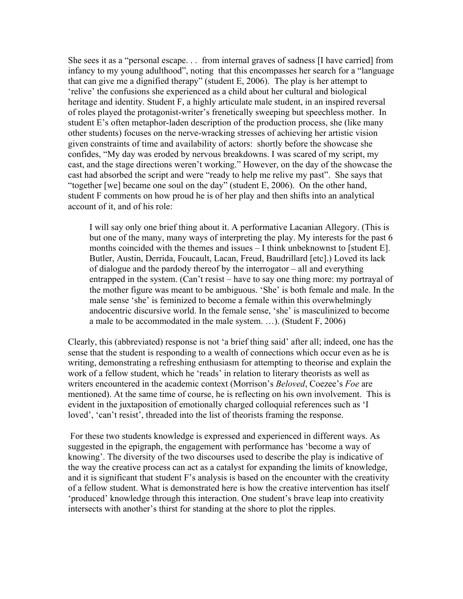She sees it as a "personal escape. . . from internal graves of sadness [I have carried] from infancy to my young adulthood", noting that this encompasses her search for a "language that can give me a dignified therapy" (student E, 2006). The play is her attempt to 'relive' the confusions she experienced as a child about her cultural and biological heritage and identity. Student F, a highly articulate male student, in an inspired reversal of roles played the protagonist-writer's frenetically sweeping but speechless mother. In student E's often metaphor-laden description of the production process, she (like many other students) focuses on the nerve-wracking stresses of achieving her artistic vision given constraints of time and availability of actors: shortly before the showcase she confides, "My day was eroded by nervous breakdowns. I was scared of my script, my cast, and the stage directions weren't working." However, on the day of the showcase the cast had absorbed the script and were "ready to help me relive my past". She says that "together [we] became one soul on the day" (student E, 2006). On the other hand, student F comments on how proud he is of her play and then shifts into an analytical account of it, and of his role:

I will say only one brief thing about it. A performative Lacanian Allegory. (This is but one of the many, many ways of interpreting the play. My interests for the past 6 months coincided with the themes and issues – I think unbeknownst to [student E]. Butler, Austin, Derrida, Foucault, Lacan, Freud, Baudrillard [etc].) Loved its lack of dialogue and the pardody thereof by the interrogator – all and everything entrapped in the system. (Can't resist – have to say one thing more: my portrayal of the mother figure was meant to be ambiguous. 'She' is both female and male. In the male sense 'she' is feminized to become a female within this overwhelmingly andocentric discursive world. In the female sense, 'she' is masculinized to become a male to be accommodated in the male system. …). (Student F, 2006)

Clearly, this (abbreviated) response is not 'a brief thing said' after all; indeed, one has the sense that the student is responding to a wealth of connections which occur even as he is writing, demonstrating a refreshing enthusiasm for attempting to theorise and explain the work of a fellow student, which he 'reads' in relation to literary theorists as well as writers encountered in the academic context (Morrison's *Beloved*, Coezee's *Foe* are mentioned). At the same time of course, he is reflecting on his own involvement. This is evident in the juxtaposition of emotionally charged colloquial references such as 'I loved', 'can't resist', threaded into the list of theorists framing the response.

For these two students knowledge is expressed and experienced in different ways. As suggested in the epigraph, the engagement with performance has 'become a way of knowing'. The diversity of the two discourses used to describe the play is indicative of the way the creative process can act as a catalyst for expanding the limits of knowledge, and it is significant that student F's analysis is based on the encounter with the creativity of a fellow student. What is demonstrated here is how the creative intervention has itself 'produced' knowledge through this interaction. One student's brave leap into creativity intersects with another's thirst for standing at the shore to plot the ripples.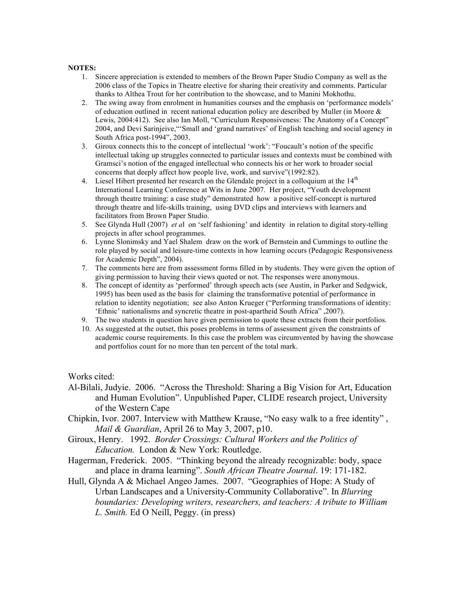## **NOTES:**

- 1. Sincere appreciation is extended to members of the Brown Paper Studio Company as well as the 2006 class of the Topics in Theatre elective for sharing their creativity and comments. Particular thanks to Althea Trout for her contribution to the showcase, and to Manini Mokhothu.
- 2. The swing away from enrolment in humanities courses and the emphasis on 'performance models' of education outlined in recent national education policy are described by Muller (in Moore & Lewis, 2004:412). See also Ian Moll, "Curriculum Responsiveness: The Anatomy of a Concept" 2004, and Devi Sarinjeive,"'Small and 'grand narratives' of English teaching and social agency in South Africa post-1994", 2003.
- 3. Giroux connects this to the concept of intellectual 'work': "Foucault's notion of the specific intellectual taking up struggles connected to particular issues and contexts must be combined with Gramsci's notion of the engaged intellectual who connects his or her work to broader social concerns that deeply affect how people live, work, and survive"(1992:82).
- 4. Liesel Hibert presented her research on the Glendale project in a colloquium at the  $14<sup>th</sup>$ International Learning Conference at Wits in June 2007. Her project, "Youth development through theatre training: a case study" demonstrated how a positive self-concept is nurtured through theatre and life-skills training, using DVD clips and interviews with learners and facilitators from Brown Paper Studio.
- 5. See Glynda Hull (2007) *et a*l on 'self fashioning' and identity in relation to digital story-telling projects in after school programmes.
- 6. Lynne Slonimsky and Yael Shalem draw on the work of Bernstein and Cummings to outline the role played by social and leisure-time contexts in how learning occurs (Pedagogic Responsiveness for Academic Depth", 2004).
- 7. The comments here are from assessment forms filled in by students. They were given the option of giving permission to having their views quoted or not. The responses were anonymous.
- 8. The concept of identity as 'performed' through speech acts (see Austin, in Parker and Sedgwick, 1995) has been used as the basis for claiming the transformative potential of performance in relation to identity negotiation; see also Anton Krueger ("Performing transformations of identity: 'Ethnic' nationalisms and syncretic theatre in post-apartheid South Africa" ,2007).
- 9. The two students in question have given permission to quote these extracts from their portfolios.
- 10. As suggested at the outset, this poses problems in terms of assessment given the constraints of academic course requirements. In this case the problem was circumvented by having the showcase and portfolios count for no more than ten percent of the total mark.

Works cited:

- Al-Bilali, Judyie. 2006. "Across the Threshold: Sharing a Big Vision for Art, Education and Human Evolution". Unpublished Paper, CLIDE research project, University of the Western Cape
- Chipkin, Ivor. 2007. Interview with Matthew Krause, "No easy walk to a free identity" , *Mail & Guardian*, April 26 to May 3, 2007, p10.
- Giroux, Henry. 1992. *Border Crossings: Cultural Workers and the Politics of Education.* London & New York: Routledge.
- Hagerman, Frederick. 2005. "Thinking beyond the already recognizable: body, space and place in drama learning". *South African Theatre Journal*. 19: 171-182.
- Hull, Glynda A & Michael Angeo James. 2007. "Geographies of Hope: A Study of Urban Landscapes and a University-Community Collaborative". In *Blurring boundaries: Developing writers, researchers, and teachers: A tribute to William L. Smith.* Ed O Neill, Peggy. (in press)